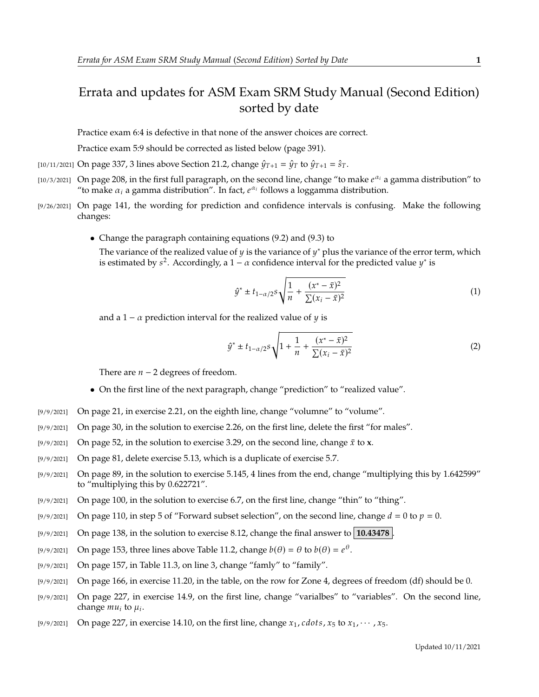## Errata and updates for ASM Exam SRM Study Manual (Second Edition) sorted by date

Practice exam 6:4 is defective in that none of the answer choices are correct.

Practice exam 5:9 should be corrected as listed below (page 391).

[10/11/2021] On page 337, 3 lines above Section 21.2, change  $\hat{\psi}_{T+1} = \hat{\psi}_T$  to  $\hat{\psi}_{T+1} = \hat{s}_T$ .

- [10/3/2021] On page 208, in the first full paragraph, on the second line, change "to make  $e^{\alpha_i}$  a gamma distribution" to "to make  $\alpha_i$  a gamma distribution". In fact  $e^{\alpha_i}$  follows a loggamma distribution "to make  $\alpha_i$  a gamma distribution". In fact,  $e^{\alpha_i}$  follows a loggamma distribution.
- [9/26/2021] On page 141, the wording for prediction and confidence intervals is confusing. Make the following changes:
	- Change the paragraph containing equations (9.2) and (9.3) to

The variance of the realized value of y is the variance of y<sup>\*</sup> plus the variance of the error term, which is estimated by  $s^2$ . Accordingly a  $1 - \alpha$  confidence interval for the predicted value  $y^*$  is is estimated by  $s^2$ . Accordingly, a  $1 - \alpha$  confidence interval for the predicted value  $y^*$  is

$$
\hat{y}^* \pm t_{1-\alpha/2} s \sqrt{\frac{1}{n} + \frac{(x^* - \bar{x})^2}{\sum (x_i - \bar{x})^2}}
$$
(1)

and a 1 –  $\alpha$  prediction interval for the realized value of  $\gamma$  is

$$
\hat{y}^* \pm t_{1-\alpha/2} s \sqrt{1 + \frac{1}{n} + \frac{(x^* - \bar{x})^2}{\sum (x_i - \bar{x})^2}}
$$
(2)

There are  $n - 2$  degrees of freedom.

- On the first line of the next paragraph, change "prediction" to "realized value".
- [9/9/2021] On page 21, in exercise 2.21, on the eighth line, change "volumne" to "volume".
- [9/9/2021] On page 30, in the solution to exercise 2.26, on the first line, delete the first "for males".
- [9/9/2021] On page 52, in the solution to exercise 3.29, on the second line, change  $\bar{x}$  to **x**.
- [9/9/2021] On page 81, delete exercise 5.13, which is a duplicate of exercise 5.7.
- [9/9/2021] On page 89, in the solution to exercise 5.145, 4 lines from the end, change "multiplying this by 1.642599" to "multiplying this by 0.622721".
- [9/9/2021] On page 100, in the solution to exercise 6.7, on the first line, change "thin" to "thing".
- [9/9/2021] On page 110, in step 5 of "Forward subset selection", on the second line, change  $d = 0$  to  $p = 0$ .
- [9/9/2021] On page 138, in the solution to exercise 8.12, change the final answer to **10.43478** .
- [9/9/2021] On page 153, three lines above Table 11.2, change  $b(\theta) = \theta$  to  $b(\theta) = e^{\theta}$ .
- [9/9/2021] On page 157, in Table 11.3, on line 3, change "famly" to "family".
- [9/9/2021] On page 166, in exercise 11.20, in the table, on the row for Zone 4, degrees of freedom (df) should be 0.
- [9/9/2021] On page 227, in exercise 14.9, on the first line, change "varialbes" to "variables". On the second line, change  $mu_i$  to  $\mu_i$ .
- [9/9/2021] On page 227, in exercise 14.10, on the first line, change  $x_1$ , cdots,  $x_5$  to  $x_1$ ,  $\cdots$ ,  $x_5$ .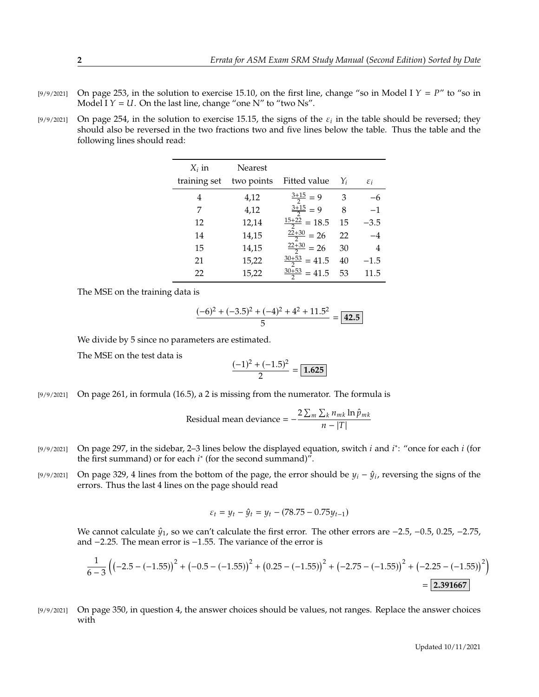- [9/9/2021] On page 253, in the solution to exercise 15.10, on the first line, change "so in Model I  $Y = P$ " to "so in Model I  $Y = U$ . On the last line, change "one N" to "two Ns".
- [9/9/2021] On page 254, in the solution to exercise 15.15, the signs of the  $\varepsilon_i$  in the table should be reversed; they should also be reversed in the two fractions two and five lines below the table. Thus the table and should also be reversed in the two fractions two and five lines below the table. Thus the table and the following lines should read:

| $X_i$ in     | Nearest    |                          |    |                 |
|--------------|------------|--------------------------|----|-----------------|
| training set | two points | Fitted value             | Yi | $\varepsilon_i$ |
| 4            | 4,12       | $\frac{3+15}{2} = 9$     | 3  |                 |
| 7            | 4,12       | $\frac{3+15}{2} = 9$     | 8  | $-1$            |
| 12           | 12,14      | $\frac{15+22}{2} = 18.5$ | 15 | $-3.5$          |
| 14           | 14,15      | $\frac{22+30}{2}$ = 26   | 22 | $-4$            |
| 15           | 14,15      | $\frac{22+30}{2}$ = 26   | 30 | 4               |
| 21           | 15,22      | $\frac{30+53}{2}$ = 41.5 | 40 | $-1.5$          |
| 22           | 15,22      | $\frac{30+53}{2}$ = 41.5 | 53 | 11.5            |

The MSE on the training data is

$$
\frac{(-6)^2 + (-3.5)^2 + (-4)^2 + 4^2 + 11.5^2}{5} = \boxed{42.5}
$$

We divide by 5 since no parameters are estimated.

The MSE on the test data is

$$
\frac{(-1)^2 + (-1.5)^2}{2} = \boxed{1.625}
$$

[9/9/2021] On page 261, in formula (16.5), a 2 is missing from the numerator. The formula is

Residual mean deviance = 
$$
-\frac{2\sum_{m}\sum_{k}n_{mk}\ln\hat{p}_{mk}}{n-|T|}
$$

- [9/9/2021] On page 297, in the sidebar, 2–3 lines below the displayed equation, switch *i* and *i*<sup>\*</sup>: "once for each *i* (for the first summand) or for each *i*<sup>\*</sup> (for the second summand)" the first summand) or for each  $i^*$  (for the second summand)".
- [9/9/2021] On page 329, 4 lines from the bottom of the page, the error should be  $y_i \hat{y}_i$ , reversing the signs of the errors. Thus the last 4 lines on the page should read errors. Thus the last 4 lines on the page should read

$$
\varepsilon_t = y_t - \hat{y}_t = y_t - (78.75 - 0.75y_{t-1})
$$

We cannot calculate  $\hat{y}_1$ , so we can't calculate the first error. The other errors are  $-2.5$ ,  $-0.5$ , 0.25,  $-2.75$ , and <sup>−</sup>2.25. The mean error is <sup>−</sup>1.55. The variance of the error is

$$
\frac{1}{6-3}\left(\left(-2.5 - \left(-1.55\right)\right)^2 + \left(-0.5 - \left(-1.55\right)\right)^2 + \left(0.25 - \left(-1.55\right)\right)^2 + \left(-2.75 - \left(-1.55\right)\right)^2 + \left(-2.25 - \left(-1.55\right)\right)^2\right)
$$
\n
$$
= 2.391667
$$

[9/9/2021] On page 350, in question 4, the answer choices should be values, not ranges. Replace the answer choices with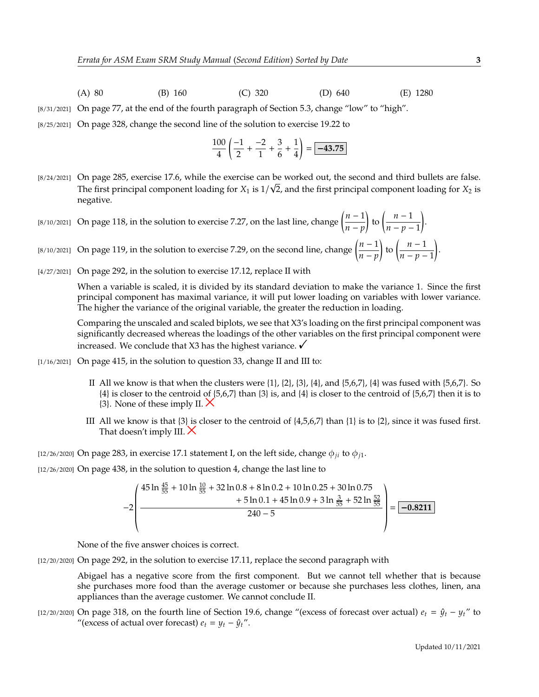- (A) 80 (B) 160 (C) 320 (D) 640 (E) 1280
- [8/31/2021] On page 77, at the end of the fourth paragraph of Section 5.3, change "low" to "high".
- [8/25/2021] On page 328, change the second line of the solution to exercise 19.22 to

$$
\frac{100}{4} \left( \frac{-1}{2} + \frac{-2}{1} + \frac{3}{6} + \frac{1}{4} \right) = \boxed{-43.75}
$$

- [8/24/2021] On page 285, exercise 17.6, while the exercise can be worked out, the second and third bullets are false. The first principal component loading for  $X_1$  is  $1/\sqrt{2}$ , and the first principal component loading for  $X_2$  is negative negative.
- [8/10/2021] On page 118, in the solution to exercise 7.27, on the last line, change  $\left(\frac{n-1}{n-m}\right)$  $\frac{n-p}{p}$ to  $\left(\frac{n-1}{n}\right)$  $\frac{n-p-1}{p-1}$ .
- [8/10/2021] On page 119, in the solution to exercise 7.29, on the second line, change  $\left(\frac{n-1}{n}\right)$  $\frac{n-p}{p}$ to  $\left(\frac{n-1}{n}\right)$  $\overline{n-p-1}$ .
- [4/27/2021] On page 292, in the solution to exercise 17.12, replace II with

When a variable is scaled, it is divided by its standard deviation to make the variance 1. Since the first principal component has maximal variance, it will put lower loading on variables with lower variance. The higher the variance of the original variable, the greater the reduction in loading.

Comparing the unscaled and scaled biplots, we see that X3's loading on the first principal component was significantly decreased whereas the loadings of the other variables on the first principal component were increased. We conclude that X3 has the highest variance.  $\checkmark$ 

- [1/16/2021] On page 415, in the solution to question 33, change II and III to:
	- II All we know is that when the clusters were  $\{1\}$ ,  $\{2\}$ ,  $\{3\}$ ,  $\{4\}$ , and  $\{5,6,7\}$ ,  $\{4\}$  was fused with  $\{5,6,7\}$ . So  ${4}$  is closer to the centroid of  ${5,6,7}$  than  ${3}$  is, and  ${4}$  is closer to the centroid of  ${5,6,7}$  then it is to  $\{3\}$ . None of these imply II.  $\times$
	- III All we know is that  $\{3\}$  is closer to the centroid of  $\{4,5,6,7\}$  than  $\{1\}$  is to  $\{2\}$ , since it was fused first. That doesn't imply III.  $\times$

[12/26/2020] On page 283, in exercise 17.1 statement I, on the left side, change  $\phi_{ji}$  to  $\phi_{j1}$ .

[12/26/2020] On page 438, in the solution to question 4, change the last line to

$$
-2\left(\frac{45\ln\frac{45}{55}+10\ln\frac{10}{55}+32\ln 0.8+8\ln 0.2+10\ln 0.25+30\ln 0.75}{240-5}\right) = \boxed{-0.8211}
$$

« None of the five answer choices is correct.

[12/20/2020] On page 292, in the solution to exercise 17.11, replace the second paragraph with

Abigael has a negative score from the first component. But we cannot tell whether that is because she purchases more food than the average customer or because she purchases less clothes, linen, ana appliances than the average customer. We cannot conclude II.

[12/20/2020] On page 318, on the fourth line of Section 19.6, change "(excess of forecast over actual)  $e_t = \hat{y}_t - y_t$ " to "(excess of actual over forecast)  $e_t = y_t - \hat{y}_t$ ".

 $^{\prime}$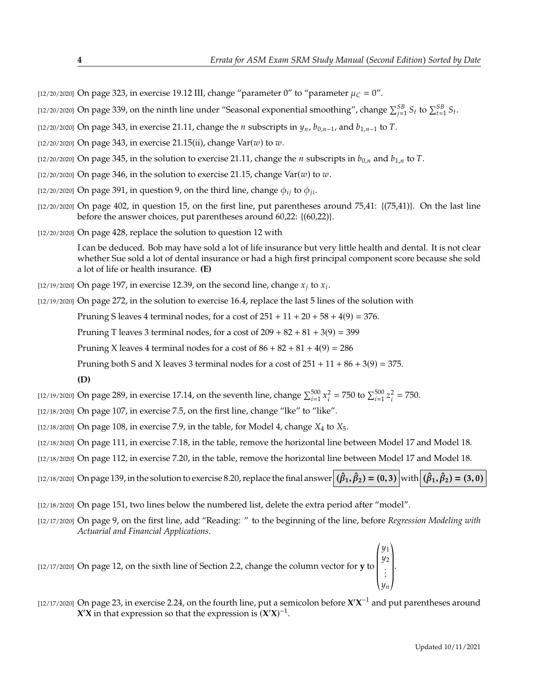- [12/20/2020] On page 323, in exercise 19.12 III, change "parameter 0" to "parameter  $\mu_C = 0$ ".
- [12/20/2020] On page 339, on the ninth line under "Seasonal exponential smoothing", change  $\sum_{j=1}^{5B} S_t$  to  $\sum_{t=1}^{5B} S_t$ .
- [12/20/2020] On page 343, in exercise 21.11, change the *n* subscripts in  $y_n$ ,  $b_{0,n-1}$ , and  $b_{1,n-1}$  to T.
- [12/20/2020] On page 343, in exercise 21.15(ii), change  $Var(w)$  to  $w$ .
- [12/20/2020] On page 345, in the solution to exercise 21.11, change the *n* subscripts in  $b_{0,n}$  and  $b_{1,n}$  to T.
- [12/20/2020] On page 346, in the solution to exercise 21.15, change  $Var(w)$  to  $w$ .
- [12/20/2020] On page 391, in question 9, on the third line, change  $\phi_{ii}$  to  $\phi_{ii}$ .
- $[12/20/2020]$  On page 402, in question 15, on the first line, put parentheses around 75,41:  $\{(75,41)\}$ . On the last line before the answer choices, put parentheses around 60,22: {(60,22)}.
- [12/20/2020] On page 428, replace the solution to question 12 with

I can be deduced. Bob may have sold a lot of life insurance but very little health and dental. It is not clear whether Sue sold a lot of dental insurance or had a high first principal component score because she sold a lot of life or health insurance. **(E)**

- [12/19/2020] On page 197, in exercise 12.39, on the second line, change  $x_j$  to  $x_i$ .
- [12/19/2020] On page 272, in the solution to exercise 16.4, replace the last 5 lines of the solution with

Pruning S leaves 4 terminal nodes, for a cost of  $251 + 11 + 20 + 58 + 4(9) = 376$ .

Pruning T leaves 3 terminal nodes, for a cost of  $209 + 82 + 81 + 3(9) = 399$ 

Pruning X leaves 4 terminal nodes for a cost of  $86 + 82 + 81 + 4(9) = 286$ 

Pruning both S and X leaves 3 terminal nodes for a cost of  $251 + 11 + 86 + 3(9) = 375$ .

**(D)**

[12/19/2020] On page 289, in exercise 17.14, on the seventh line, change  $\sum_{i=1}^{500}$  x  $\sum_{i=1}^{2}$  = 750 to  $\sum_{i=1}^{500} z$  $2^2 = 750.$ 

- [12/18/2020] On page 107, in exercise 7.5, on the first line, change "lke" to "like".
- [12/18/2020] On page 108, in exercise 7.9, in the table, for Model 4, change  $X_4$  to  $X_5$ .
- [12/18/2020] On page 111, in exercise 7.18, in the table, remove the horizontal line between Model 17 and Model 18.
- [12/18/2020] On page 112, in exercise 7.20, in the table, remove the horizontal line between Model 17 and Model 18.

 $\text{(12/18/2020)}$  On page 139, in the solution to exercise 8.20, replace the final answer  $(\hat{\beta}_1, \hat{\beta}_2) = (0, 3) \text{ with } (\hat{\beta}_1, \hat{\beta}_2) = (3, 0)$ 

- [12/18/2020] On page 151, two lines below the numbered list, delete the extra period after "model".
- [12/17/2020] On page 9, on the first line, add "Reading: " to the beginning of the line, before *Regression Modeling with Actuarial and Financial Applications*.

[12/17/2020] On page 12, on the sixth line of Section 2.2, change the column vector for **y** to  $\overline{\ }$ y1<br>110 y2 . . .  $\begin{bmatrix} \frac{1}{2} & \frac{1}{2} \\ \frac{1}{2} & \frac{1}{2} \\ \frac{1}{2} & \frac{1}{2} \end{bmatrix}$ 

« ¬  $[12/17/2020]$  On page 23, in exercise 2.24, on the fourth line, put a semicolon before  $X'X^{-1}$  and put parentheses around **X'X** in that expression so that the expression is  $(X'X)^{-1}$ .

 $\overline{\phantom{a}}$ 

.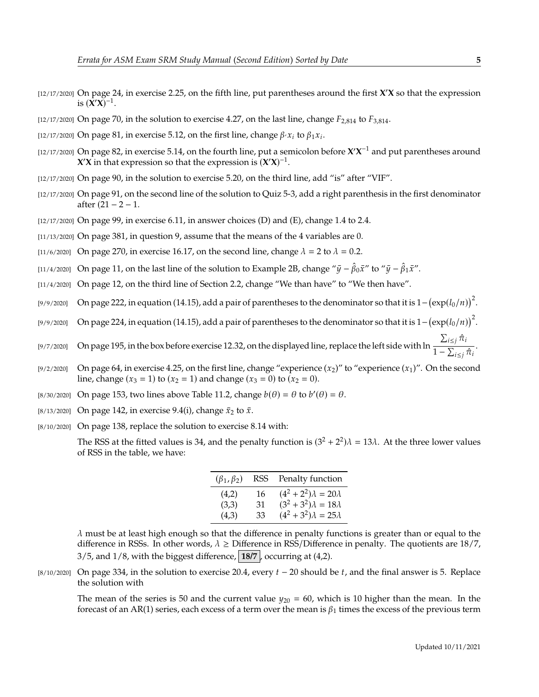- [12/17/2020] On page 24, in exercise 2.25, on the fifth line, put parentheses around the first **X** ′**X** so that the expression is  $(\mathbf{X}'\mathbf{X})^{-1}$ .
- [12/17/2020] On page 70, in the solution to exercise 4.27, on the last line, change  $F_{2,814}$  to  $F_{3,814}$ .
- [12/17/2020] On page 81, in exercise 5.12, on the first line, change  $\beta$   $\alpha_i$  to  $\beta_1 x_i$ .
- $[12/17/2020]$  On page 82, in exercise 5.14, on the fourth line, put a semicolon before  $X'X^{-1}$  and put parentheses around *X***<sup>** $\mathbf{\hat{X}}$  **in that expression so that the expression is**  $(\mathbf{\hat{X}}'\mathbf{\hat{X}})^{-1}$ **.**</sup>
- [12/17/2020] On page 90, in the solution to exercise 5.20, on the third line, add "is" after "VIF".
- [12/17/2020] On page 91, on the second line of the solution to Quiz 5-3, add a right parenthesis in the first denominator after (21 − 2 − 1.
- $[12/17/2020]$  On page 99, in exercise 6.11, in answer choices (D) and (E), change 1.4 to 2.4.
- [11/13/2020] On page 381, in question 9, assume that the means of the 4 variables are 0.
- [11/6/2020] On page 270, in exercise 16.17, on the second line, change  $\lambda = 2$  to  $\lambda = 0.2$ .
- [11/4/2020] On page 11, on the last line of the solution to Example 2B, change " $\bar{y} \hat{\beta}_0 \bar{x}$ " to " $\bar{y} \hat{\beta}_1 \bar{x}$ ".
- [11/4/2020] On page 12, on the third line of Section 2.2, change "We than have" to "We then have".
- [9/9/2020] On page 222, in equation (14.15), add a pair of parentheses to the denominator so that it is  $1-(\exp(l_0/n))^2$ .
- [9/9/2020] On page 224, in equation (14.15), add a pair of parentheses to the denominator so that it is  $1-(\exp(l_0/n))^2$ .
- [9/7/2020] On page 195, in the box before exercise 12.32, on the displayed line, replace the left side with ln  $\frac{\sum_{i \leq j} \hat{\pi}_i}{\sum_{i \leq j} \hat{\pi}_i}$  $\frac{1}{1-\sum_{i\leq j}\hat{\pi}_i}$ .
- [9/2/2020] On page 64, in exercise 4.25, on the first line, change "experience  $(x_2)$ " to "experience  $(x_1)$ ". On the second line, change  $(x_3 = 1)$  to  $(x_2 = 1)$  and change  $(x_3 = 0)$  to  $(x_2 = 0)$ .
- [8/30/2020] On page 153, two lines above Table 11.2, change  $b(\theta) = \theta$  to  $b'(\theta) = \theta$ .
- [8/13/2020] On page 142, in exercise 9.4(i), change  $\bar{x}_2$  to  $\bar{x}$ .
- [8/10/2020] On page 138, replace the solution to exercise 8.14 with:

The RSS at the fitted values is 34, and the penalty function is  $(3^2 + 2^2)\lambda = 13\lambda$ . At the three lower values of RSS in the table, we have:

| $(\beta_1, \beta_2)$ | RSS | Penalty function               |
|----------------------|-----|--------------------------------|
| (4,2)                | 16  | $(4^2+2^2)\lambda = 20\lambda$ |
| (3,3)                | 31  | $(3^2+3^2)\lambda = 18\lambda$ |
| (4,3)                | 33  | $(4^2+3^2)\lambda = 25\lambda$ |

 $\lambda$  must be at least high enough so that the difference in penalty functions is greater than or equal to the difference in RSSs. In other words,  $\lambda \geq$  Difference in RSS/Difference in penalty. The quotients are 18/7,  $3/5$ , and  $1/8$ , with the biggest difference,  $18/7$ , occurring at  $(4,2)$ .

[8/10/2020] On page 334, in the solution to exercise 20.4, every  $t - 20$  should be t, and the final answer is 5. Replace the solution with

The mean of the series is 50 and the current value  $y_{20} = 60$ , which is 10 higher than the mean. In the forecast of an AR(1) series, each excess of a term over the mean is  $\beta_1$  times the excess of the previous term